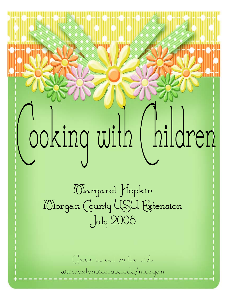## ooking with (hildren

Margaret Hopkin Morgan County USU Extension July 2008

> Check us out on the web www.extension.usu.edu/morgan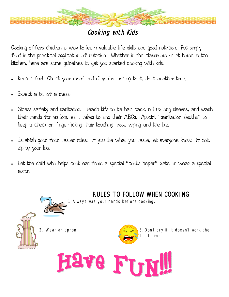

#### Cooking with Kids

Cooking offers children a way to learn valuable life skills and good nutrition. Put simply, food is the practical application of nutrition. Whether in the classroom or at home in the kitchen, here are some guidelines to get you started cooking with kids.

- Keep it fun! Check your mood and if you're not up to it, do it another time.
- Expect a bit of a mess!
- Stress safety and sanitation. Teach kids to tie hair back, roll up long sleeves, and wash their hands for as long as it takes to sing their ABCs. Appoint "sanitation sleuths" to keep a check on finger licking, hair touching, nose wiping and the like.
- Establish good food taster rules: If you like what you taste, let everyone know. If not, zip up your lips.
- Let the child who helps cook eat from a special "cooks helper" plate or wear a special apron.

1. Always was your hands before cooking.





RULES TO FOLLOW WHEN COOKING

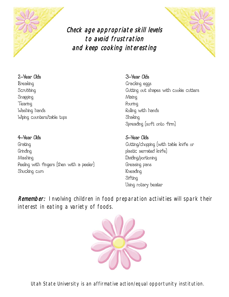

#### Check age appropriate skill levels to avoid frustration and keep cooking interesting



#### 2−Year Olds 3−Year Olds

Breaking **Channels** Cracking eggs Snapping Mixing Tearing Pouring Pouring Pouring Pouring Pouring Pouring Pouring Pouring Pouring Pouring Pouring Pouring Pouring Pouring Pouring Pouring Pouring Pouring Pouring Pouring Pouring Pouring Pouring Pouring Pouring Pouring Pourin Washing hands **Rolling** with hands Wiping counters/table tops Shaking

#### 4−Year Olds 5−Year Olds

Grating Cutting/chopping (with table knife or Grinding **plastic** serrated knife) Mashing Dividing/portioning Peeling with fingers (then with a peeler) Greasing pans Shucking corn **Kneading** 

Scrubbing Scrubbing Scrubbing out shapes with cookie cutters Spreading (soft onto firm)

## Sifting Using rotary beater

Remember: Involving children in food preparation activities will spark their interest in eating a variety of foods.



Utah State University is an affirmative action/equal opportunity institution.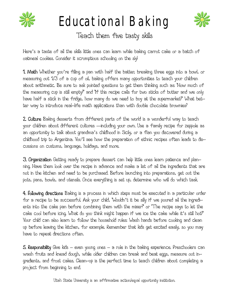

### Educational Baking



Teach them five tasty skills

Here's a taste of all the skills little ones can learn while baking carrot cake or a batch of oatmeal cookies. Consider it scrumptious schooling on the sly!

1. Math Whether you're filling a pan with half the batter, breaking three eggs into a bowl, or measuring out 1/3 of a cup of oil, baking offers many opportunities to teach your children about arithmetic. Be sure to ask pointed questions to get them thinking such as: "How much of the measuring cup is still empty?" and "If this recipe calls for two sticks of butter and we only have half a stick in the fridge, how many do we need to buy at the supermarket?" What bet− ter way to introduce real−life math applications than with double chocolate brownies?

2. Culture Baking desserts from different parts of the world is a wonderful way to teach your children about different cultures — including your own. Use a family recipe for zeppole as an opportunity to talk about grandma's childhood in Sicily, or a flan you discovered during a childhood trip to Argentina. You'll see how the preparation of ethnic recipes often leads to dis− cussions on customs, language, holidays, and more.

3. Organization Getting ready to prepare dessert can help little ones learn patience and plan− ning. Have them look over the recipe in advance and make a list of all the ingredients that are not in the kitchen and need to be purchased. Before launching into preparations, get out the pots, pans, bowls, and utensils. Once everything is set up, determine who will do which task.

4. Following directions Baking is a process in which steps must be executed in a particular order for a recipe to be successful. Ask your child, "Wouldn't it be silly if we poured all the ingredi− ents into the cake pan before combining them with the mixer?" or "The recipe says to let the cake cool before icing. What do you think might happen if we ice the cake while it's still hot?" Your child can also learn to follow the household rules: Wash hands before cooking and clean up before leaving the kitchen, for example. Remember that kids get excited easily, so you may have to repeat directions often.

5. Responsibility Give kids – even young ones – a role in the baking experience. Preschoolers can wash fruits and knead dough, while older children can break and beat eggs, measure out in− gredients, and frost cakes. Clean−up is the perfect time to teach children about completing a project from beginning to end.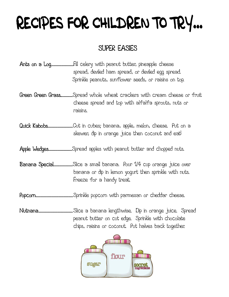### RECIPES FOR CHILDREN TO TRY...

#### SUPER EASIES

Ants on a Log...............................Fill celery with peanut butter, pineapple cheese spread, deviled ham spread, or deviled egg spread. Sprinkle peanuts, sunflower seeds, or raisins on top.

Green Green Grass.................Spread whole wheat crackers with cream cheese or fruit cheese spread and top with alfalfa sprouts, nuts or raisins.

Quick Kabobs...................................Cut in cubes; banana, apple, melon, cheese. Put on a skewer, dip in orange juice then coconut and eat!

Apple Wedges.................................Spread apples with peanut butter and chopped nuts.

Banana Special...........................Slice a small banana. Pour 1/4 cup orange juice over banana or dip in lemon yogurt then sprinkle with nuts. Freeze for a handy treat.

Popcorn.................................................... Sprinkle popcorn with parmesan or cheddar cheese.

Nutnana................................................ Slice a banana lengthwise. Dip in orange juice. Spread peanut butter on cut edge. Sprinkle with chocolate chips, raisins or coconut. Put halves back together.

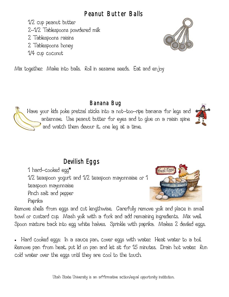#### Peanut Butter Balls

 1/2 cup peanut butter 2−1/2 Tablespoons powdered milk 2 Tablespoons raisins 2 Tablespoons honey

1/4 cup coconut

Mix together. Make into balls. Roll in sesame seeds. Eat and enjoy

#### Banana Bug

Have your kids poke pretzel sticks into a not−too−ripe banana for legs and antennae. Use peanut butter for eyes and to glue on a raisin spine and watch them devour it, one leg at a time.

### Devilish Eggs

1 hard−cooked egg\*

1/2 teaspoon yogurt and 1/2 teaspoon mayonnaise or 1

teaspoon mayonnaise

Pinch salt and pepper

Paprika

Remove shells from eggs and cut lengthwise. Carefully remove yolk and place in small bowl or custard cup. Mash yolk with a fork and add remaining ingredients. Mix well. Spoon mixture back into egg white halves. Sprinkle with paprika. Makes 2 deviled eggs.

• Hard cooked eggs: In a sauce pan, cover eggs with water. Heat water to a boil. Remove pan from heat, put lid on pan and let sit for 15 minutes. Drain hot water. Run cold water over the eggs until they are cool to the touch.

Utah State University is an affirmative action/equal opportunity institution.







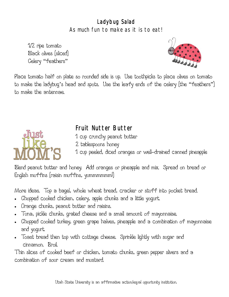#### Ladybug Salad As much fun to make as it is to eat!

 1/2 ripe tomato Black olives (sliced) Celery "feathers"



Place tomato half on plate so rounded side is up. Use toothpicks to place olives on tomato to make the ladybug's head and spots. Use the leafy ends of the celery (the "feathers") to make the antennae.



#### Fruit Nutter Butter

- 1 cup crunchy peanut butter
- 2 tablespoons honey
- 1 cup peeled, diced oranges or well−drained canned pineapple

Blend peanut butter and honey. Add oranges or pineapple and mix. Spread on bread or English muffins (raisin muffins, yummmmmm!)

More ideas. Top a bagel, whole wheat bread, cracker or stuff into pocket bread.

- Chopped cooked chicken, celery, apple chunks and a little yogurt.
- Orange chunks, peanut butter and raisins.
- Tuna, pickle chunks, grated cheese and a small amount of mayonnaise.
- Chopped cooked turkey, green grape halves, pineapple and a combination of mayonnaise and yogurt.
- Toast bread then top with cottage cheese. Sprinkle lightly with sugar and cinnamon. Broil.

Thin slices of cooked beef or chicken, tomato chunks, green pepper slivers and a combination of sour cream and mustard.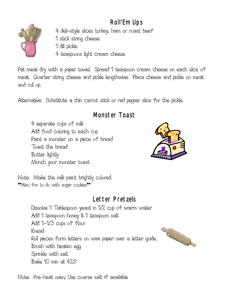### Roll'Em Ups



- 4 deli−style slices turkey, ham or roast beef
- 1 stick string cheese
- 1 dill pickle
- 4 teaspoons light cream cheese

Pat meat dry with a paper towel. Spread 1 teaspoon cream cheese on each slice of meat. Quarter string cheese and pickle lengthwise. Place cheese and pickle on meat and roll up.

Alternative: Substitute a thin carrot stick or red pepper slice for the pickle.

#### Monster Toast

 4 separate cups of milk Add food coloring to each cup Paint a monster on a piece of bread Toast the bread Butter lightly Munch your monster toast



Note: Make the milk paint brightly colored. \*\*Also fun to do with sugar cookies\*\*

#### Letter Pretzels

 Dissolve 1 Tablespoon yeast in 1/2 cup of warm water Add 1 teaspoon honey & 1 teaspoon salt Add 1−1/3 cups of flour Knead Roll pieces form letters on wax paper over a letter guide. Brush with beaten egg Sprinkle with salt Bake 10 min at  $425^\circ$ 



Note: Pre−heat oven; Use coarse salt if available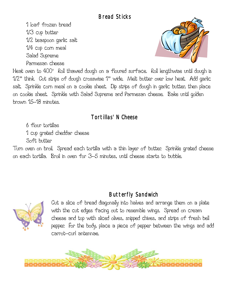#### Bread Sticks

 1 loaf frozen bread 1/3 cup butter 1/2 teaspoon garlic salt 1/4 cup corn meal Salad Supreme Parmesan cheese



Heat oven to  $400^{\circ}$  . Roll thawed dough on a floured surface. . Roll lengthwise until dough is . 1/2" think. Cut strips of dough crosswise 1" wide. Melt butter over low heat. Add garlic salt. Sprinkle corn meal on a cookie sheet. Dip strips of dough in garlic butter, then place on cookie sheet. Sprinkle with Salad Supreme and Parmesan cheese. Bake until golden brown 15−18 minutes.

#### Tortillas' N Cheese

6 flour tortillas

1 cup grated cheddar cheese

Soft butter

Turn oven on broil. Spread each tortilla with a thin layer of butter. Sprinkle grated cheese on each tortilla. Broil in oven for 3−5 minutes, until cheese starts to bubble.

#### Butterfly Sandwich



Cut a slice of bread diagonally into halves and arrange them on a plate with the cut edges facing out to resemble wings. Spread on cream cheese and top with sliced olives, snipped chives, and strips of fresh bell pepper. For the body, place a piece of pepper between the wings and add carrot−curl antennae.

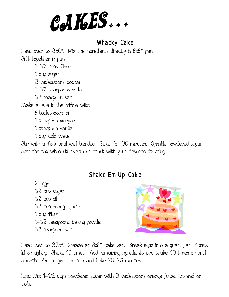CAKES...

#### Whacky Cake

Heat oven to  $350^{\circ}$ . Mix the ingredients directly in  $8x8"$  pan-Sift together in pan:

1−1/2 cups flour

1 cup sugar

3 tablespoons cocoa

1−1/2 teaspoons soda

1/2 teaspoon salt

Make a lake in the middle with:

6 tablespoons oil

1 teaspoon vinegar

1 teaspoon vanilla

1 cup cold water

Stir with a fork until well blended. Bake for 30 minutes. Sprinkle powdered sugar over the top while still warm or frost with your favorite frosting.

#### Shake Em Up Cake

 2 eggs 1/2 cup sugar 1/2 cup oil 1/2 cup orange juice 1 cup flour 1−1/2 teaspoons baking powder 1/2 teaspoon salt



Heat oven to 375°. Grease an 8x8'' cake pan. Break eggs into a quart jar. Screw lid on tightly. Shake 10 times. Add remaining ingredients and shake 40 times or until smooth. Pour in greased pan and bake 20−25 minutes.

Icing: Mix 1−1/2 cups powdered sugar with 3 tablespoons orange juice. Spread on cake.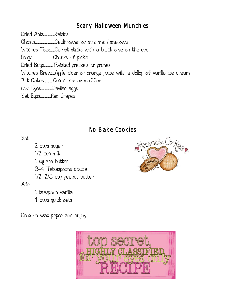#### Scary Halloween Munchies

Dried Ants...............Raisins

Ghosts...........................Cauliflower or mini marshmallows

Witches Toes......Carrot sticks with a black olive on the end

Frogs.............................Chunks of pickle

Dried Bugs............Twisted pretzels or prunes

Witches Brew.....Apple cider or orange juice with a dollop of vanilla ice cream

Bat Cakes.............Cup cakes or muffins

Owl Eyes................Deviled eggs

Bat Eggs...............Red Grapes

#### No Bake Cookies

#### Boil:

 2 cups sugar 1/2 cup milk 1 square butter 3−4 Tablespoons cocoa 1/2−2/3 cup peanut butter

#### Add:

1 teaspoon vanilla

4 cups quick oats

Drop on wax paper and enjoy



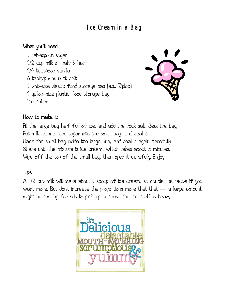#### Ice Cream in a Bag

#### What you'll need:

 1 tablespoon sugar 1/2 cup milk or half & half 1/4 teaspoon vanilla 6 tablespoons rock salt 1 pint−size plastic food storage bag (e.g., Ziploc) 1 gallon−size plastic food storage bag Ice cubes



#### How to make it:

Fill the large bag half full of ice, and add the rock salt. Seal the bag. Put milk, vanilla, and sugar into the small bag, and seal it. Place the small bag inside the large one, and seal it again carefully. Shake until the mixture is ice cream, which takes about 5 minutes. Wipe off the top of the small bag, then open it carefully. Enjoy!

#### Tips:

A 1/2 cup milk will make about 1 scoop of ice cream, so double the recipe if you want more. But don't increase the proportions more that that −− a large amount might be too big for kids to pick−up because the ice itself is heavy.